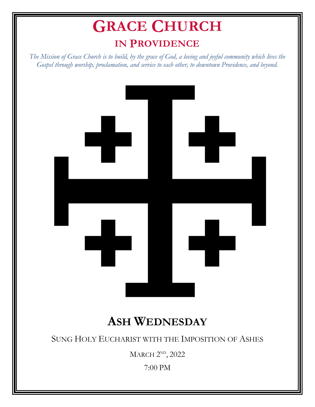# **GRACE CHURCH IN PROVIDENCE** *The Mission of Grace Church is to build, by the grace of God, a loving and joyful community which lives the Gospel through worship, proclamation, and service to each other, to downtown Providence, and beyond.* ۰ ۳ **ASH WEDNESDAY** SUNG HOLY EUCHARIST WITH THE IMPOSITION OF ASHES

MARCH 2<sup>ND</sup>, 2022

7:00 PM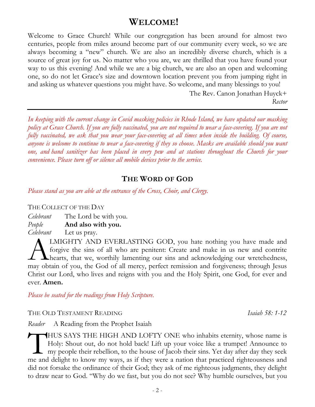## **WELCOME!**

Welcome to Grace Church! While our congregation has been around for almost two centuries, people from miles around become part of our community every week, so we are always becoming a "new" church. We are also an incredibly diverse church, which is a source of great joy for us. No matter who you are, we are thrilled that you have found your way to us this evening! And while we are a big church, we are also an open and welcoming one, so do not let Grace's size and downtown location prevent you from jumping right in and asking us whatever questions you might have. So welcome, and many blessings to you!

> The Rev. Canon Jonathan Huyck+ *Rector*

In keeping with the current change in Covid masking policies in Rhode Island, we have updated our masking policy at Grace Church. If you are fully vaccinated, you are not required to wear a face-covering. If you are not fully vaccinated, we ask that you wear your face-covering at all times when inside the building. Of course, anyone is welcome to continue to wear a face-covering if they so choose. Masks are available should you want one, and hand sanitizer has been placed in every pew and at stations throughout the Church for your *convenience. Please turn off or silence all mobile devices prior to the service.*

### **THE WORD OF GOD**

*Please stand as you are able at the entrance of the Cross, Choir, and Clergy.* 

THE COLLECT OF THE DAY

*Celebrant* The Lord be with you.

*People* **And also with you.**

*Celebrant* Let us pray.

LMIGHTY AND EVERLASTING GOD, you hate nothing you have made and forgive the sins of all who are penitent: Create and make in us new and contrite **Thearts, that we, worthily lamenting our sins and acknowledging our wretchedness,** LMIGHTY AND EVERLASTING GOD, you hate nothing you have made and forgive the sins of all who are penitent: Create and make in us new and contrite hearts, that we, worthily lamenting our sins and acknowledging our wretchedne Christ our Lord, who lives and reigns with you and the Holy Spirit, one God, for ever and ever. **Amen.**

*Please be seated for the readings from Holy Scripture.*

THE OLD TESTAMENT READING *Isaiah 58: 1-12*

*Reader* A Reading from the Prophet Isaiah

HUS SAYS THE HIGH AND LOFTY ONE who inhabits eternity, whose name is Holy: Shout out, do not hold back! Lift up your voice like a trumpet! Announce to my people their rebellion, to the house of Jacob their sins. Yet day after day they seek HUS SAYS THE HIGH AND LOFTY ONE who inhabits eternity, whose name is<br>Holy: Shout out, do not hold back! Lift up your voice like a trumpet! Announce to<br>my people their rebellion, to the house of Jacob their sins. Yet day af did not forsake the ordinance of their God; they ask of me righteous judgments, they delight to draw near to God. "Why do we fast, but you do not see? Why humble ourselves, but you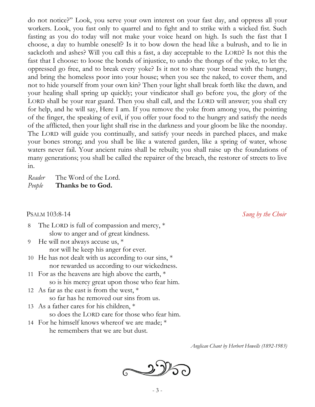do not notice?" Look, you serve your own interest on your fast day, and oppress all your workers. Look, you fast only to quarrel and to fight and to strike with a wicked fist. Such fasting as you do today will not make your voice heard on high. Is such the fast that I choose, a day to humble oneself? Is it to bow down the head like a bulrush, and to lie in sackcloth and ashes? Will you call this a fast, a day acceptable to the LORD? Is not this the fast that I choose: to loose the bonds of injustice, to undo the thongs of the yoke, to let the oppressed go free, and to break every yoke? Is it not to share your bread with the hungry, and bring the homeless poor into your house; when you see the naked, to cover them, and not to hide yourself from your own kin? Then your light shall break forth like the dawn, and your healing shall spring up quickly; your vindicator shall go before you, the glory of the LORD shall be your rear guard. Then you shall call, and the LORD will answer; you shall cry for help, and he will say, Here I am. If you remove the yoke from among you, the pointing of the finger, the speaking of evil, if you offer your food to the hungry and satisfy the needs of the afflicted, then your light shall rise in the darkness and your gloom be like the noonday. The LORD will guide you continually, and satisfy your needs in parched places, and make your bones strong; and you shall be like a watered garden, like a spring of water, whose waters never fail. Your ancient ruins shall be rebuilt; you shall raise up the foundations of many generations; you shall be called the repairer of the breach, the restorer of streets to live in.

*Reader* The Word of the Lord. *People* **Thanks be to God.**

PSALM 103:8-14 *Sung by the Choir*

- 8 The LORD is full of compassion and mercy, \* slow to anger and of great kindness.
- 9 He will not always accuse us, \* nor will he keep his anger for ever.
- 10 He has not dealt with us according to our sins,  $*$ nor rewarded us according to our wickedness.
- 11 For as the heavens are high above the earth,  $*$ so is his mercy great upon those who fear him.
- 12 As far as the east is from the west,  $*$ so far has he removed our sins from us.
- 13 As a father cares for his children, \* so does the LORD care for those who fear him.
- 14 For he himself knows whereof we are made; \* he remembers that we are but dust.

*Anglican Chant by Herbert Howells (1892-1983)*

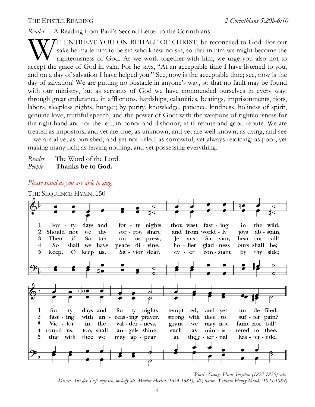#### *Reader* A Reading from Paul's Second Letter to the Corinthians

E ENTREAT YOU ON BEHALF OF CHRIST, be reconciled to God. For our sake he made him to be sin who knew no sin, so that in him we might become the righteousness of God. As we work together with him, we urge you also not to WE ENTREAT YOU ON BEHALF OF CHRIST, be reconciled to God. For our sake he made him to be sin who knew no sin, so that in him we might become the righteousness of God. As we work together with him, we urge you also not to a and on a day of salvation I have helped you." See, now is the acceptable time; see, now is the day of salvation! We are putting no obstacle in anyone's way, so that no fault may be found with our ministry, but as servants of God we have commended ourselves in every way: through great endurance, in afflictions, hardships, calamities, beatings, imprisonments, riots, labors, sleepless nights, hunger; by purity, knowledge, patience, kindness, holiness of spirit, genuine love, truthful speech, and the power of God; with the weapons of righteousness for the right hand and for the left; in honor and dishonor, in ill repute and good repute. We are treated as impostors, and yet are true; as unknown, and yet are well known; as dying, and see – we are alive; as punished, and yet not killed; as sorrowful, yet always rejoicing; as poor, yet making many rich; as having nothing, and yet possessing everything.

*Reader* The Word of the Lord. *People* **Thanks be to God.**

#### *Please stand as you are able to sing,*



 *Words: George Hunt Smyttan (1822-1870), alt.*

*Music: Aus der Tiefe rufe ich, melody att. Martin Herbst (1654-1681), alt.; harm. William Henry Monk (1823-1889)*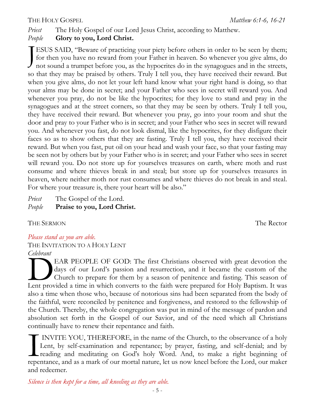## *Priest* The Holy Gospel of our Lord Jesus Christ, according to Matthew.

#### *People* **Glory to you, Lord Christ.**

ESUS SAID, "Beware of practicing your piety before others in order to be seen by them; for then you have no reward from your Father in heaven. So whenever you give alms, do not sound a trumpet before you, as the hypocrites do in the synagogues and in the streets, so that they may be praised by others. Truly I tell you, they have received their reward. But when you give alms, do not let your left hand know what your right hand is doing, so that your alms may be done in secret; and your Father who sees in secret will reward you. And whenever you pray, do not be like the hypocrites; for they love to stand and pray in the synagogues and at the street corners, so that they may be seen by others. Truly I tell you, they have received their reward. But whenever you pray, go into your room and shut the door and pray to your Father who is in secret; and your Father who sees in secret will reward you. And whenever you fast, do not look dismal, like the hypocrites, for they disfigure their faces so as to show others that they are fasting. Truly I tell you, they have received their reward. But when you fast, put oil on your head and wash your face, so that your fasting may be seen not by others but by your Father who is in secret; and your Father who sees in secret will reward you. Do not store up for yourselves treasures on earth, where moth and rust consume and where thieves break in and steal; but store up for yourselves treasures in heaven, where neither moth nor rust consumes and where thieves do not break in and steal. For where your treasure is, there your heart will be also." J

*Priest* The Gospel of the Lord. *People* **Praise to you, Lord Christ.**

THE SERMON The Rector

*Please stand as you are able.* THE INVITATION TO A HOLY LENT *Celebrant*

EAR PEOPLE OF GOD: The first Christians observed with great devotion the days of our Lord's passion and resurrection, and it became the custom of the Church to prepare for them by a season of penitence and fasting. This season of EAR PEOPLE OF GOD: The first Christians observed with great devotion the days of our Lord's passion and resurrection, and it became the custom of the Church to prepare for them by a season of penitence and fasting. This se also a time when those who, because of notorious sins had been separated from the body of the faithful, were reconciled by penitence and forgiveness, and restored to the fellowship of the Church. Thereby, the whole congregation was put in mind of the message of pardon and absolution set forth in the Gospel of our Savior, and of the need which all Christians continually have to renew their repentance and faith.

INVITE YOU, THEREFORE, in the name of the Church, to the observance of a holy Lent, by self-examination and repentance; by prayer, fasting, and self-denial; and by reading and meditating on God's holy Word. And, to make a right beginning of INVITE YOU, THEREFORE, in the name of the Church, to the observance of a holy<br>Lent, by self-examination and repentance; by prayer, fasting, and self-denial; and by<br>reading and meditating on God's holy Word. And, to make a and redeemer.

*Silence is then kept for a time, all kneeling as they are able.*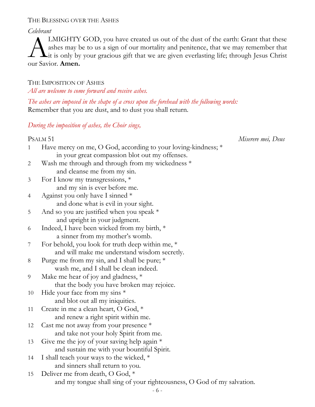#### THE BLESSING OVER THE ASHES

*Celebrant*

LMIGHTY GOD, you have created us out of the dust of the earth: Grant that these ashes may be to us a sign of our mortality and penitence, that we may remember that it is only by your gracious gift that we are given everlasting life; through Jesus Christ our Savior. **Amen.**  $\overline{A}$ 

THE IMPOSITION OF ASHES *All are welcome to come forward and receive ashes.* 

*The ashes are imposed in the shape of a cross upon the forehead with the following words:* Remember that you are dust, and to dust you shall return.

*During the imposition of ashes, the Choir sings,*

|                | PSALM <sub>51</sub>                                                    | Miserere mei, Deus |
|----------------|------------------------------------------------------------------------|--------------------|
| 1              | Have mercy on me, O God, according to your loving-kindness; *          |                    |
|                | in your great compassion blot out my offenses.                         |                    |
| $\overline{2}$ | Wash me through and through from my wickedness *                       |                    |
|                | and cleanse me from my sin.                                            |                    |
| 3              | For I know my transgressions, *                                        |                    |
|                | and my sin is ever before me.                                          |                    |
| $\overline{4}$ | Against you only have I sinned *                                       |                    |
|                | and done what is evil in your sight.                                   |                    |
| 5              | And so you are justified when you speak *                              |                    |
|                | and upright in your judgment.                                          |                    |
| 6              | Indeed, I have been wicked from my birth, *                            |                    |
|                | a sinner from my mother's womb.                                        |                    |
| 7              | For behold, you look for truth deep within me, $*$                     |                    |
|                | and will make me understand wisdom secretly.                           |                    |
| 8              | Purge me from my sin, and I shall be pure; *                           |                    |
|                | wash me, and I shall be clean indeed.                                  |                    |
| 9              | Make me hear of joy and gladness, *                                    |                    |
|                | that the body you have broken may rejoice.                             |                    |
| 10             | Hide your face from my sins $*$                                        |                    |
|                | and blot out all my iniquities.                                        |                    |
| 11             | Create in me a clean heart, O God, *                                   |                    |
|                | and renew a right spirit within me.                                    |                    |
| 12             | Cast me not away from your presence *                                  |                    |
|                | and take not your holy Spirit from me.                                 |                    |
| 13             | Give me the joy of your saving help again *                            |                    |
|                | and sustain me with your bountiful Spirit.                             |                    |
| 14             | I shall teach your ways to the wicked, *                               |                    |
|                | and sinners shall return to you.                                       |                    |
| 15             | Deliver me from death, O God, *                                        |                    |
|                | and my tongue shall sing of your righteousness, O God of my salvation. |                    |
|                | $-6-$                                                                  |                    |
|                |                                                                        |                    |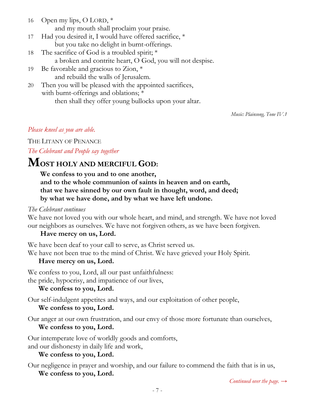16 Open my lips, O LORD,  $*$  and my mouth shall proclaim your praise. 17 Had you desired it, I would have offered sacrifice, \* but you take no delight in burnt-offerings. 18 The sacrifice of God is a troubled spirit; \* a broken and contrite heart, O God, you will not despise. 19 Be favorable and gracious to Zion, \* and rebuild the walls of Jerusalem. 20 Then you will be pleased with the appointed sacrifices, with burnt-offerings and oblations; \* then shall they offer young bullocks upon your altar.

*Music: Plainsong, Tone IV.1*

*Please kneel as you are able.*

THE LITANY OF PENANCE

*The Celebrant and People say together*

## **MOST HOLY AND MERCIFUL GOD:**

 **We confess to you and to one another, and to the whole communion of saints in heaven and on earth, that we have sinned by our own fault in thought, word, and deed; by what we have done, and by what we have left undone.**

*The Celebrant continues*

We have not loved you with our whole heart, and mind, and strength. We have not loved our neighbors as ourselves. We have not forgiven others, as we have been forgiven.

#### **Have mercy on us, Lord.**

We have been deaf to your call to serve, as Christ served us.

We have not been true to the mind of Christ. We have grieved your Holy Spirit.

#### **Have mercy on us, Lord.**

We confess to you, Lord, all our past unfaithfulness:

the pride, hypocrisy, and impatience of our lives,

**We confess to you, Lord.**

Our self-indulgent appetites and ways, and our exploitation of other people,

#### **We confess to you, Lord.**

Our anger at our own frustration, and our envy of those more fortunate than ourselves, **We confess to you, Lord.**

Our intemperate love of worldly goods and comforts, and our dishonesty in daily life and work,

#### **We confess to you, Lord.**

Our negligence in prayer and worship, and our failure to commend the faith that is in us, **We confess to you, Lord.**

*Continued over the page.*  $\rightarrow$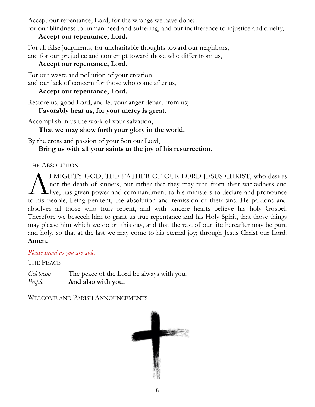Accept our repentance, Lord, for the wrongs we have done:

for our blindness to human need and suffering, and our indifference to injustice and cruelty,

#### **Accept our repentance, Lord.**

For all false judgments, for uncharitable thoughts toward our neighbors, and for our prejudice and contempt toward those who differ from us,

#### **Accept our repentance, Lord.**

For our waste and pollution of your creation, and our lack of concern for those who come after us,

#### **Accept our repentance, Lord.**

Restore us, good Lord, and let your anger depart from us;

**Favorably hear us, for your mercy is great.**

Accomplish in us the work of your salvation,

#### **That we may show forth your glory in the world.**

By the cross and passion of your Son our Lord,

#### **Bring us with all your saints to the joy of his resurrection.**

#### THE ABSOLUTION

LMIGHTY GOD, THE FATHER OF OUR LORD JESUS CHRIST, who desires not the death of sinners, but rather that they may turn from their wickedness and live, has given power and commandment to his ministers to declare and pronounce to his people, being penitent, the absolution and remission of their sins. He pardons and absolves all those who truly repent, and with sincere hearts believe his holy Gospel. Therefore we beseech him to grant us true repentance and his Holy Spirit, that those things may please him which we do on this day, and that the rest of our life hereafter may be pure and holy, so that at the last we may come to his eternal joy; through Jesus Christ our Lord. **Amen.**  $\overline{A}$ 

#### *Please stand as you are able.*

THE PEACE

*Celebrant* The peace of the Lord be always with you. *People* **And also with you.**

WELCOME AND PARISH ANNOUNCEMENTS

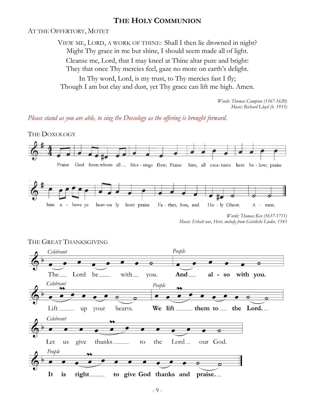#### **THE HOLY COMMUNION**

AT THE OFFERTORY, MOTET

VIEW ME, LORD, A WORK OF THINE: Shall I then lie drowned in night? Might Thy grace in me but shine, I should seem made all of light. Cleanse me, Lord, that I may kneel at Thine altar pure and bright: They that once Thy mercies feel, gaze no more on earth's delight. In Thy word, Lord, is my trust, to Thy mercies fast I fly; Though I am but clay and dust, yet Thy grace can lift me high. Amen.

> *Words: Thomas Campion (1567-1620) Music: Richard Lloyd (b. 1933)*

*Please stand as you are able, to sing the Doxology as the offering is brought forward.*



*Words: Thomas Ken (1637-1711) Music: Erhalt uns, Herr, melody from Geistliche Lieder, 1543*



#### THE GREAT THANKSGIVING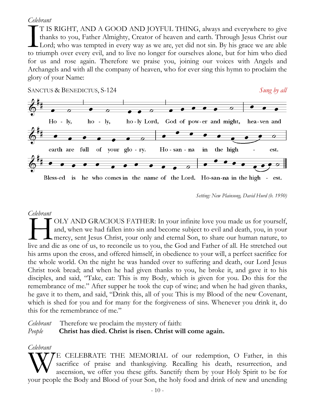#### *Celebrant*

T IS RIGHT, AND A GOOD AND JOYFUL THING, always and everywhere to give thanks to you, Father Almighty, Creator of heaven and earth. Through Jesus Christ our Lord; who was tempted in every way as we are, yet did not sin. By his grace we are able T IS RIGHT, AND A GOOD AND JOYFUL THING, always and everywhere to give thanks to you, Father Almighty, Creator of heaven and earth. Through Jesus Christ our Lord; who was tempted in every way as we are, yet did not sin. By for us and rose again. Therefore we praise you, joining our voices with Angels and Archangels and with all the company of heaven, who for ever sing this hymn to proclaim the glory of your Name:



*Setting: New Plainsong, David Hurd (b. 1950)*

#### *Celebrant*

OLY AND GRACIOUS FATHER: In your infinite love you made us for yourself, and, when we had fallen into sin and become subject to evil and death, you, in your mercy, sent Jesus Christ, your only and eternal Son, to share our human nature, to Live and die as one of us, to reconcile us to you, the God and Father of all. He stretched out and die as one of us, to reconcile us to you, the God and Father of all. He stretched out his arms upon the cross, and offered himself, in obedience to your will, a perfect sacrifice for the whole world. On the night he was handed over to suffering and death, our Lord Jesus Christ took bread; and when he had given thanks to you, he broke it, and gave it to his disciples, and said, "Take, eat: This is my Body, which is given for you. Do this for the remembrance of me." After supper he took the cup of wine; and when he had given thanks, he gave it to them, and said, "Drink this, all of you: This is my Blood of the new Covenant, which is shed for you and for many for the forgiveness of sins. Whenever you drink it, do this for the remembrance of me."

#### *Celebrant* Therefore we proclaim the mystery of faith: *People* **Christ has died. Christ is risen. Christ will come again.**

#### *Celebrant*

E CELEBRATE THE MEMORIAL of our redemption, O Father, in this sacrifice of praise and thanksgiving. Recalling his death, resurrection, and ascension, we offer you these gifts. Sanctify them by your Holy Spirit to be for your people the Body and Blood of your Son, the holy food and drink of new and unending W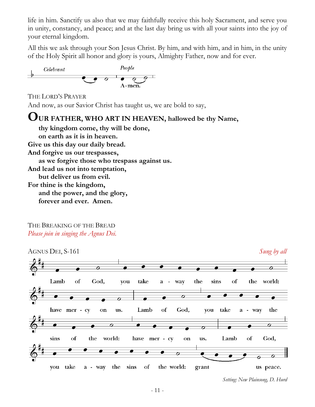life in him. Sanctify us also that we may faithfully receive this holy Sacrament, and serve you in unity, constancy, and peace; and at the last day bring us with all your saints into the joy of your eternal kingdom.

All this we ask through your Son Jesus Christ. By him, and with him, and in him, in the unity of the Holy Spirit all honor and glory is yours, Almighty Father, now and for ever.



THE LORD'S PRAYER And now, as our Savior Christ has taught us, we are bold to say,

## **OUR FATHER, WHO ART IN HEAVEN, hallowed be thy Name,**

 **thy kingdom come, thy will be done, on earth as it is in heaven. Give us this day our daily bread. And forgive us our trespasses, as we forgive those who trespass against us. And lead us not into temptation, but deliver us from evil. For thine is the kingdom, and the power, and the glory, forever and ever. Amen.**



#### THE BREAKING OF THE BREAD *Please join in singing the Agnus Dei.*

*Setting: New Plainsong, D. Hurd*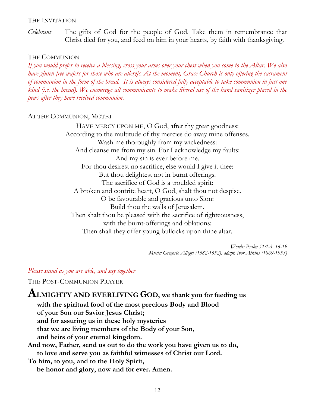#### THE INVITATION

*Celebrant* The gifts of God for the people of God. Take them in remembrance that Christ died for you, and feed on him in your hearts, by faith with thanksgiving.

#### THE COMMUNION

*If you would prefer to receive a blessing, cross your arms over your chest when you come to the Altar. We also have gluten-free wafers for those who are allergic. At the moment, Grace Church is only offering the sacrament of communion in the form of the bread. It is always considered fully acceptable to take communion in just one kind (i.e. the bread). We encourage all communicants to make liberal use of the hand sanitizer placed in the pews after they have received communion.*

#### AT THE COMMUNION, MOTET

HAVE MERCY UPON ME, O God, after thy great goodness: According to the multitude of thy mercies do away mine offenses. Wash me thoroughly from my wickedness: And cleanse me from my sin. For I acknowledge my faults: And my sin is ever before me. For thou desirest no sacrifice, else would I give it thee: But thou delightest not in burnt offerings. The sacrifice of God is a troubled spirit: A broken and contrite heart, O God, shalt thou not despise. O be favourable and gracious unto Sion: Build thou the walls of Jerusalem. Then shalt thou be pleased with the sacrifice of righteousness, with the burnt-offerings and oblations: Then shall they offer young bullocks upon thine altar.

> *Words: Psalm 51:1-3, 16-19 Music: Gregorio Allegri (1582-1652), adapt. Ivor Atkins (1869-1953)*

*Please stand as you are able, and say together* 

THE POST-COMMUNION PRAYER

**ALMIGHTY AND EVERLIVING GOD, we thank you for feeding us with the spiritual food of the most precious Body and Blood of your Son our Savior Jesus Christ; and for assuring us in these holy mysteries that we are living members of the Body of your Son, and heirs of your eternal kingdom. And now, Father, send us out to do the work you have given us to do, to love and serve you as faithful witnesses of Christ our Lord. To him, to you, and to the Holy Spirit, be honor and glory, now and for ever. Amen.**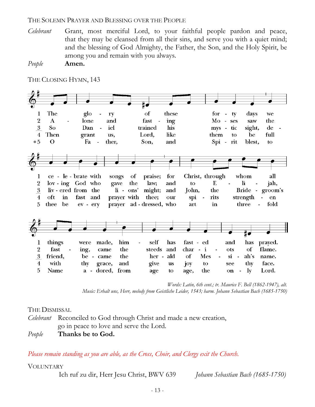#### THE SOLEMN PRAYER AND BLESSING OVER THE PEOPLE

*Celebrant* Grant, most merciful Lord, to your faithful people pardon and peace, that they may be cleansed from all their sins, and serve you with a quiet mind; and the blessing of God Almighty, the Father, the Son, and the Holy Spirit, be among you and remain with you always.

*People* **Amen.**

⋕ℯ The  $\mathbf{1}$ of these glo rv for  $\overline{\phantom{a}}$ ty days we  $\overline{2}$ A lone and fast ing  $\rm Mo$  saw the ses 3  $So$ Dan trained his iel mys tic sight,  $\rm{d}$ e  $\overline{4}$ Then grant us, Lord. like. them to be full  $*5$ and  $\Omega$ Fa ther, Son, Spi - rit blest, to ce - le - brate with Christ, through whom all  $\mathbf{1}$ of praise; for songs  $\overline{2}$  $\frac{1}{x}$  -  $\frac{1}{x}$ God who gave the law: and  $\mathbf{t}$ E li jah, groom's 3 and liv - ered from the  $\mathbf{h}$  ons' might; Iohn. the Bride prayer with thee;  $\overline{4}$ oft in fast and our spi rits strength en 5 thee be  $ev - *ery*$ prayer ad - dressed, who art  $\mathbf{m}$ three fold things made, him self has fast - ed and has prayed.  $\bf{l}$ were  $\overline{2}$  $\mathbf{-i}$ flame. fast came the steeds and char ots of ing, 3 friend. be came the her ald of Mes  $\sin$ ah's name.  $\overline{\mathbf{4}}$ with thy grace, and give joy to see thy face. **us** 5 Name Lord.  $a$ dored, from age to age, the on  $\overline{a}$  $\mathbf{I}$ y

THE CLOSING HYMN, 143

*Words: Latin, 6th cent.; tr. Maurice F. Bell (1862-1947), alt. Music: Erhalt uns, Herr, melody from Geistliche Leider, 1543; harm. Johann Sebastian Bach (1685-1750)*

THE DISMISSAL

- *Celebrant* Reconciled to God through Christ and made a new creation, go in peace to love and serve the Lord.
- *People* **Thanks be to God.**

*Please remain standing as you are able, as the Cross, Choir, and Clergy exit the Church.*

**VOLUNTARY** 

Ich ruf zu dir, Herr Jesu Christ, BWV 639 *Johann Sebastian Bach (1685-1750)*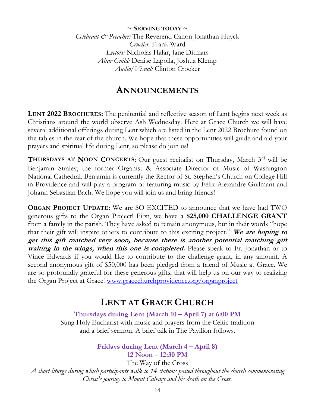$\sim$  **SERVING TODAY**  $\sim$ *Celebrant & Preacher:* The Reverend Canon Jonathan Huyck *Crucifer:* Frank Ward *Lectors:* Nicholas Halar, Jane Ditmars *Altar Guild:* Denise Lapolla, Joshua Klemp *Audio/Visual:* Clinton Crocker

## **ANNOUNCEMENTS**

**LENT 2022 BROCHURES:** The penitential and reflective season of Lent begins next week as Christians around the world observe Ash Wednesday. Here at Grace Church we will have several additional offerings during Lent which are listed in the Lent 2022 Brochure found on the tables in the rear of the church. We hope that these opportunities will guide and aid your prayers and spiritual life during Lent, so please do join us!

**THURSDAYS AT NOON CONCERTS:** Our guest recitalist on Thursday, March 3rd will be Benjamin Straley, the former Organist & Associate Director of Music of Washington National Cathedral. Benjamin is currently the Rector of St. Stephen's Church on College Hill in Providence and will play a program of featuring music by Félix-Alexandre Guilmant and Johann Sebastian Bach. We hope you will join us and bring friends!

**ORGAN PROJECT UPDATE:** We are SO EXCITED to announce that we have had TWO generous gifts to the Organ Project! First, we have a **\$25,000 CHALLENGE GRANT** from a family in the parish. They have asked to remain anonymous, but in their words "hope that their gift will inspire others to contribute to this exciting project." **We are hoping to get this gift matched very soon, because there is another potential matching gift**  *waiting in the wings, when this one is completed.* **Please speak to Fr. Jonathan or to** Vince Edwards if you would like to contribute to the challenge grant, in any amount. A second anonymous gift of \$50,000 has been pledged from a friend of Music at Grace. We are so profoundly grateful for these generous gifts, that will help us on our way to realizing the Organ Project at Grace! [www.gracechurchprovidence.org/organproject](http://www.gracechurchprovidence.org/organproject/)

## **LENT AT GRACE CHURCH**

**Thursdays during Lent (March 10 – April 7) at 6:00 PM**

Sung Holy Eucharist with music and prayers from the Celtic tradition and a brief sermon. A brief talk in The Pavilion follows.

#### **Fridays during Lent (March 4 – April 8) 12 Noon – 12:30 PM**

The Way of the Cross

*A short liturgy during which participants walk to 14 stations posted throughout the church commemorating Christ's journey to Mount Calvary and his death on the Cross.*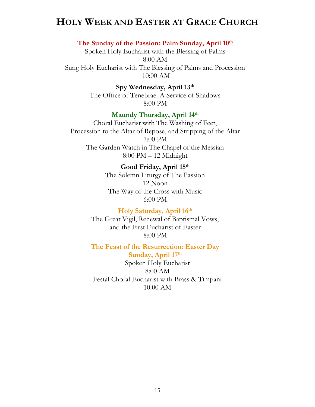## **HOLY WEEK AND EASTER AT GRACE CHURCH**

**The Sunday of the Passion: Palm Sunday, April 10th**

Spoken Holy Eucharist with the Blessing of Palms 8:00 AM Sung Holy Eucharist with The Blessing of Palms and Procession 10:00 AM

> **Spy Wednesday, April 13th** The Office of Tenebrae: A Service of Shadows 8:00 PM

#### **Maundy Thursday, April 14th**

Choral Eucharist with The Washing of Feet, Procession to the Altar of Repose, and Stripping of the Altar 7:00 PM The Garden Watch in The Chapel of the Messiah 8:00 PM – 12 Midnight

#### **Good Friday, April 15th**

The Solemn Liturgy of The Passion 12 Noon The Way of the Cross with Music 6:00 PM

#### **Holy Saturday, April 16th**

The Great Vigil, Renewal of Baptismal Vows, and the First Eucharist of Easter 8:00 PM

#### **The Feast of the Resurrection: Easter Day Sunday, April 17th**

Spoken Holy Eucharist 8:00 AM Festal Choral Eucharist with Brass & Timpani 10:00 AM